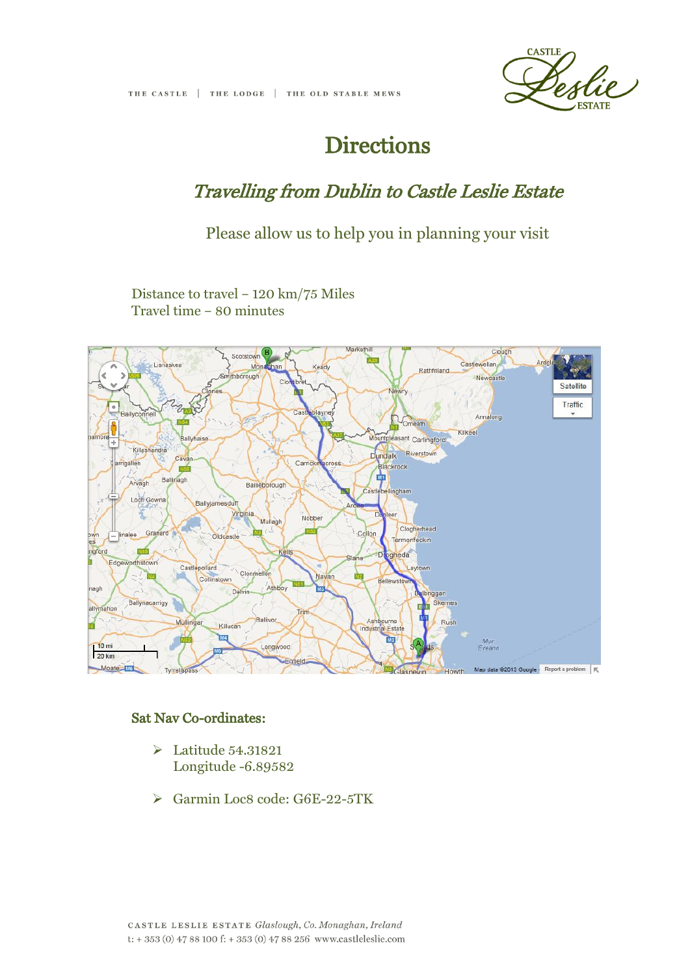

# **Directions**

## Travelling from Dublin to Castle Leslie Estate

Please allow us to help you in planning your visit

Distance to travel – 120 km/75 Miles Travel time – 80 minutes



#### Sat Nav Co-ordinates:

- Latitude 54.31821 Longitude -6.89582
- Garmin Loc8 code: G6E-22-5TK